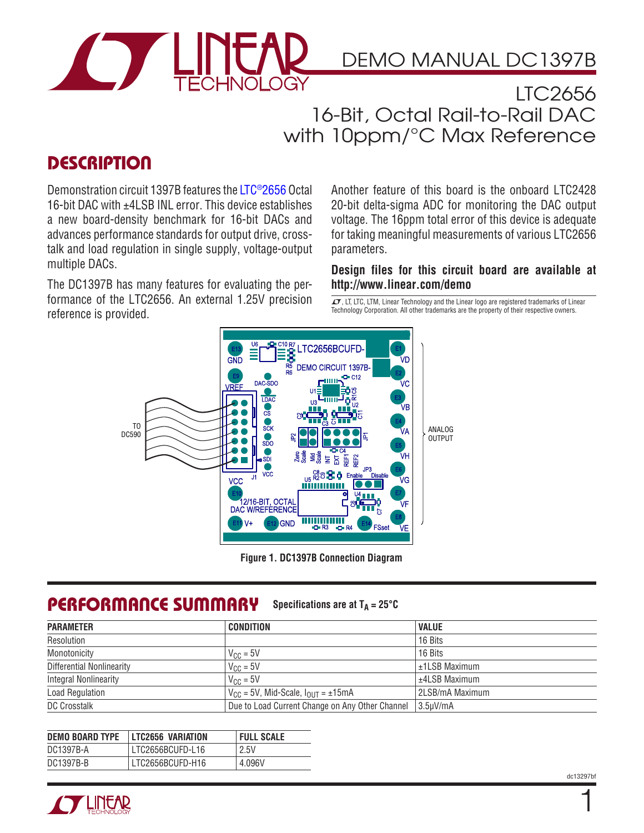

### DEMO MANUAL DC1397B

LTC2656 16-Bit, Octal Rail-to-Rail DAC with 10ppm/°C Max Reference

### **DESCRIPTION**

Demonstration circuit 1397B features the [LTC®2656](http://www.linear.com/LTC2656) Octal 16-bit DAC with ±4LSB INL error. This device establishes a new board-density benchmark for 16-bit DACs and advances performance standards for output drive, crosstalk and load regulation in single supply, voltage-output multiple DACs.

The DC1397B has many features for evaluating the performance of the LTC2656. An external 1.25V precision reference is provided.

Another feature of this board is the onboard LTC2428 20-bit delta-sigma ADC for monitoring the DAC output voltage. The 16ppm total error of this device is adequate for taking meaningful measurements of various LTC2656 parameters.

**Design files for this circuit board are available at <http://www.linear.com/demo>**

 $\overline{\mathcal{L}7}$ , LT, LTC, LTM, Linear Technology and the Linear logo are registered trademarks of Linear Technology Corporation. All other trademarks are the property of their respective owners.



**Figure 1. DC1397B Connection Diagram**

#### PERFORMANCE SUMMARY Specifications are at  $T_A = 25^\circ C$

| <b>PARAMETER</b>             | <b>CONDITION</b>                                          | <b>VALUE</b>      |
|------------------------------|-----------------------------------------------------------|-------------------|
| Resolution                   |                                                           | 16 Bits           |
| Monotonicity                 | $V_{\text{CC}} = 5V$                                      | 16 Bits           |
| Differential Nonlinearity    | $V_{\text{CC}} = 5V$                                      | $±1LSB$ Maximum   |
| <b>Integral Nonlinearity</b> | $V_{\text{CC}} = 5V$                                      | $+4$ l SB Maximum |
| Load Regulation              | $V_{\text{CC}}$ = 5V, Mid-Scale, $I_{\text{OUT}}$ = ±15mA | 2LSB/mA Maximum   |
| <b>DC Crosstalk</b>          | Due to Load Current Change on Any Other Channel           | $3.5 \mu V/mA$    |

| <b>DEMO BOARD TYPE</b> | LTC2656 VARIATION  | <b>FULL SCALE</b> |
|------------------------|--------------------|-------------------|
| DC1397B-A              | l LTC2656BCUFD-L16 | 2.5V              |
| DC1397B-B              | LTC2656BCUFD-H16   | 4.096V            |



dc13297bf

1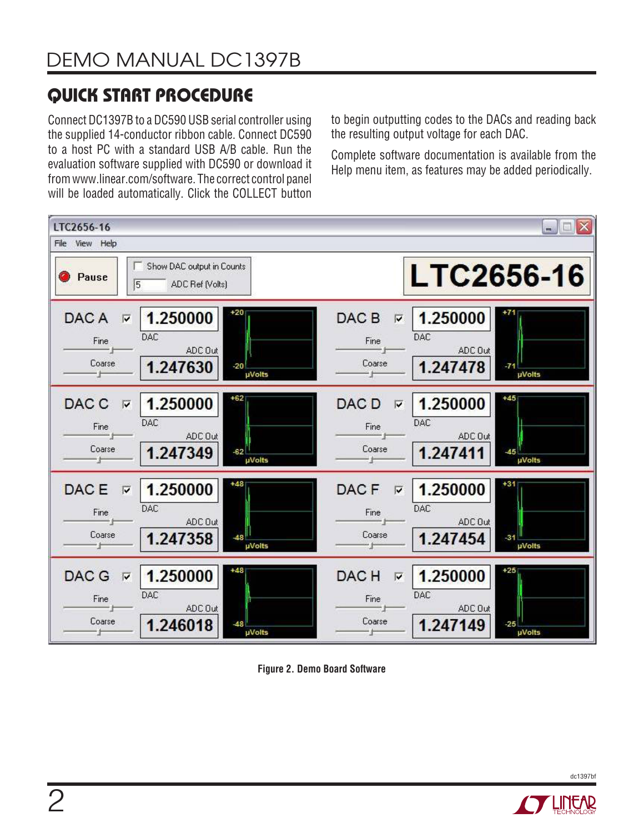# QUICK START PROCEDURE

Connect DC1397B to a DC590 USB serial controller using the supplied 14-conductor ribbon cable. Connect DC590 to a host PC with a standard USB A/B cable. Run the evaluation software supplied with DC590 or download it from www.linear.com/software. The correct control panel will be loaded automatically. Click the COLLECT button to begin outputting codes to the DACs and reading back the resulting output voltage for each DAC.

Complete software documentation is available from the Help menu item, as features may be added periodically.



**Figure 2. Demo Board Software**



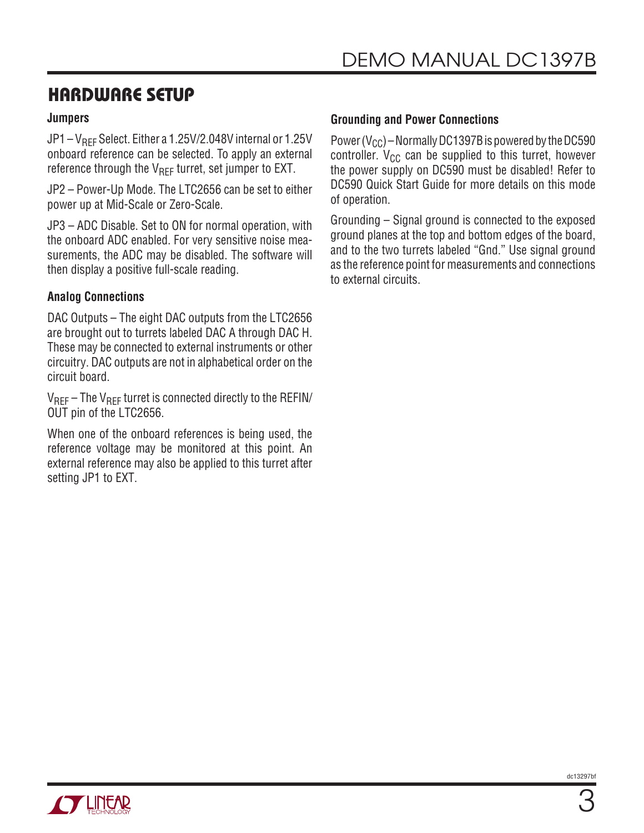### HARDWARE SETUP

#### **Jumpers**

JP1 –  $V_{RFF}$  Select. Either a 1.25V/2.048V internal or 1.25V onboard reference can be selected. To apply an external reference through the  $V_{\text{RFF}}$  turret, set jumper to EXT.

JP2 – Power-Up Mode. The LTC2656 can be set to either power up at Mid-Scale or Zero-Scale.

JP3 – ADC Disable. Set to ON for normal operation, with the onboard ADC enabled. For very sensitive noise measurements, the ADC may be disabled. The software will then display a positive full-scale reading.

### **Analog Connections**

DAC Outputs – The eight DAC outputs from the LTC2656 are brought out to turrets labeled DAC A through DAC H. These may be connected to external instruments or other circuitry. DAC outputs are not in alphabetical order on the circuit board.

 $V_{REF}$  – The  $V_{REF}$  turret is connected directly to the REFIN/ OUT pin of the LTC2656.

When one of the onboard references is being used, the reference voltage may be monitored at this point. An external reference may also be applied to this turret after setting JP1 to EXT.

#### **Grounding and Power Connections**

Power ( $V_{CC}$ ) – Normally DC1397B is powered by the DC590 controller.  $V_{CC}$  can be supplied to this turret, however the power supply on DC590 must be disabled! Refer to DC590 Quick Start Guide for more details on this mode of operation.

Grounding – Signal ground is connected to the exposed ground planes at the top and bottom edges of the board, and to the two turrets labeled "Gnd." Use signal ground as the reference point for measurements and connections to external circuits.

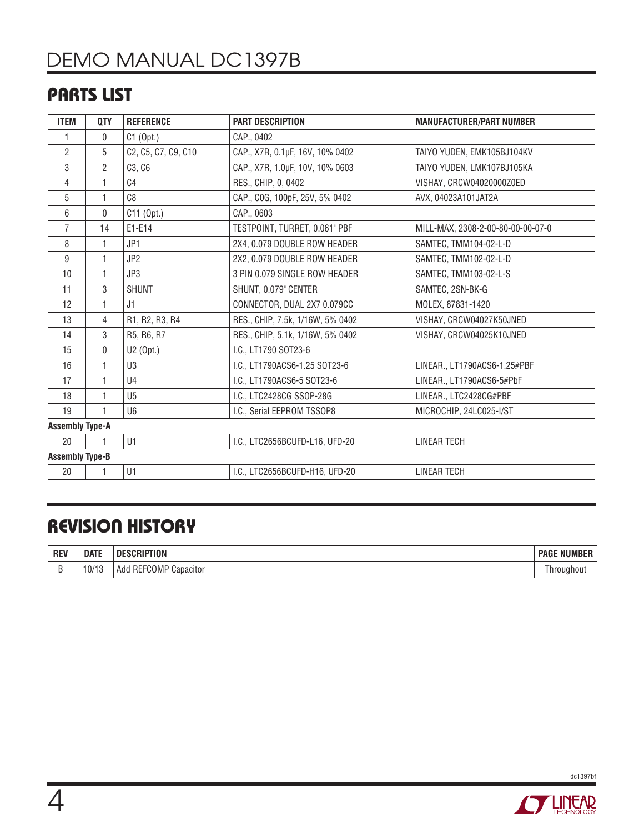# DEMO MANUAL DC1397B

### PARTS LIST

| <b>ITEM</b>            | <b>QTY</b>     | <b>REFERENCE</b>    | <b>PART DESCRIPTION</b>          | <b>MANUFACTURER/PART NUMBER</b>   |
|------------------------|----------------|---------------------|----------------------------------|-----------------------------------|
| 1                      | $\mathbf{0}$   | $C1$ (Opt.)         | CAP., 0402                       |                                   |
| $\overline{2}$         | 5              | C2, C5, C7, C9, C10 | CAP., X7R, 0.1µF, 16V, 10% 0402  | TAIYO YUDEN, EMK105BJ104KV        |
| 3                      | $\overline{2}$ | C3, C6              | CAP., X7R, 1.0µF, 10V, 10% 0603  | TAIYO YUDEN, LMK107BJ105KA        |
| 4                      |                | C <sub>4</sub>      | RES., CHIP, 0, 0402              | VISHAY, CRCW04020000Z0ED          |
| 5                      |                | C8                  | CAP., COG, 100pF, 25V, 5% 0402   | AVX, 04023A101JAT2A               |
| 6                      | $\mathbf 0$    | C11 (Opt.)          | CAP., 0603                       |                                   |
| 7                      | 14             | E1-E14              | TESTPOINT, TURRET, 0.061" PBF    | MILL-MAX, 2308-2-00-80-00-00-07-0 |
| 8                      | 1              | JP1                 | 2X4, 0.079 DOUBLE ROW HEADER     | SAMTEC, TMM104-02-L-D             |
| $9\,$                  | 1              | JP <sub>2</sub>     | 2X2, 0.079 DOUBLE ROW HEADER     | SAMTEC, TMM102-02-L-D             |
| 10                     | 1              | JP3                 | 3 PIN 0.079 SINGLE ROW HEADER    | SAMTEC, TMM103-02-L-S             |
| 11                     | 3              | <b>SHUNT</b>        | SHUNT, 0.079" CENTER             | SAMTEC, 2SN-BK-G                  |
| 12                     |                | J1                  | CONNECTOR, DUAL 2X7 0.079CC      | MOLEX, 87831-1420                 |
| 13                     | 4              | R1, R2, R3, R4      | RES., CHIP, 7.5k, 1/16W, 5% 0402 | VISHAY, CRCW04027K50JNED          |
| 14                     | 3              | R5, R6, R7          | RES., CHIP, 5.1k, 1/16W, 5% 0402 | VISHAY, CRCW04025K10JNED          |
| 15                     | $\mathbf{0}$   | U2 (Opt.)           | I.C., LT1790 SOT23-6             |                                   |
| 16                     |                | U <sub>3</sub>      | I.C., LT1790ACS6-1.25 SOT23-6    | LINEAR., LT1790ACS6-1.25#PBF      |
| 17                     | 1              | U4                  | I.C., LT1790ACS6-5 SOT23-6       | LINEAR., LT1790ACS6-5#PbF         |
| 18                     |                | U <sub>5</sub>      | I.C., LTC2428CG SSOP-28G         | LINEAR., LTC2428CG#PBF            |
| 19                     |                | U <sub>6</sub>      | I.C., Serial EEPROM TSSOP8       | MICROCHIP, 24LC025-I/ST           |
| <b>Assembly Type-A</b> |                |                     |                                  |                                   |
| 20                     |                | U1                  | I.C., LTC2656BCUFD-L16, UFD-20   | <b>LINEAR TECH</b>                |
| <b>Assembly Type-B</b> |                |                     |                                  |                                   |
| 20                     |                | U1                  | I.C., LTC2656BCUFD-H16, UFD-20   | <b>LINEAR TECH</b>                |

### REVISION HISTORY

| <b>REV</b> | <b>DATE</b>    | :RIPTION                                              | <b>NUMBER</b><br><b>PAGE</b> |
|------------|----------------|-------------------------------------------------------|------------------------------|
|            | $10/1^{\circ}$ | COMP <sup></sup><br>$\sim$<br>REF<br>Capacitor<br>Add | Throughout                   |



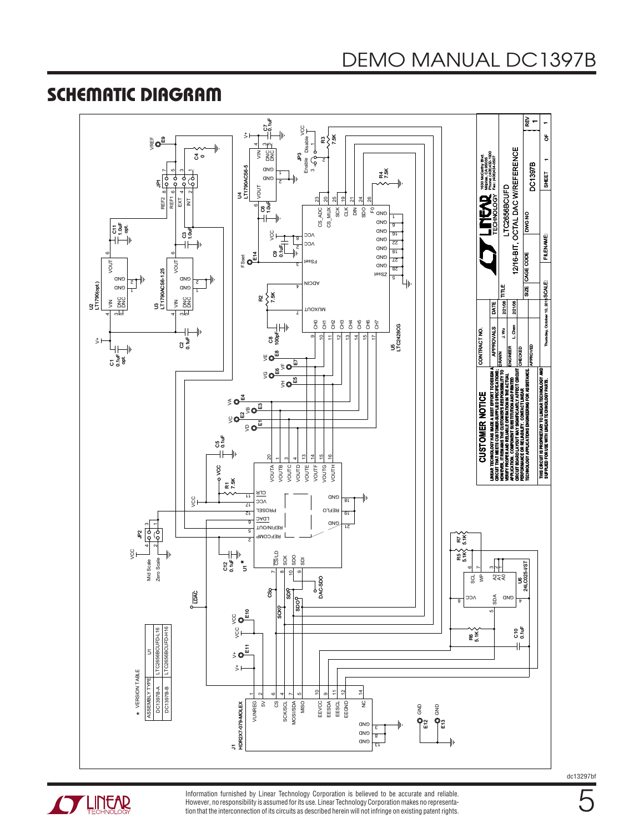### SCHEMATIC DIAGRAM





Information furnished by Linear Technology Corporation is believed to be accurate and reliable. However, no responsibility is assumed for its use. Linear Technology Corporation makes no representation that the interconnection of its circuits as described herein will not infringe on existing patent rights. dc13297bf

5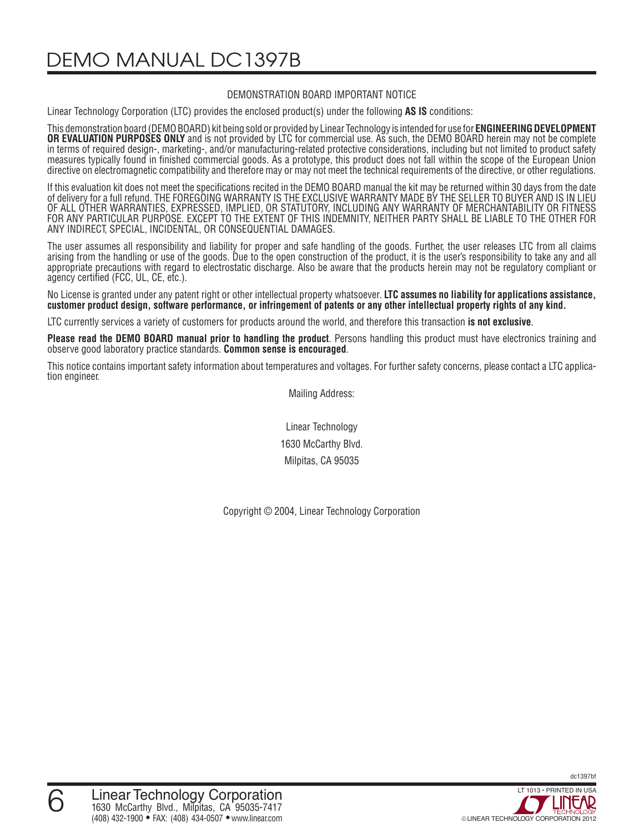DEMO MANUAL DC1397B

#### DEMONSTRATION BOARD IMPORTANT NOTICE

Linear Technology Corporation (LTC) provides the enclosed product(s) under the following **AS IS** conditions:

This demonstration board (DEMO BOARD) kit being sold or provided by Linear Technology is intended for use for **ENGINEERING DEVELOPMENT OR EVALUATION PURPOSES ONLY** and is not provided by LTC for commercial use. As such, the DEMO BOARD herein may not be complete in terms of required design-, marketing-, and/or manufacturing-related protective considerations, including but not limited to product safety measures typically found in finished commercial goods. As a prototype, this product does not fall within the scope of the European Union directive on electromagnetic compatibility and therefore may or may not meet the technical requirements of the directive, or other regulations.

If this evaluation kit does not meet the specifications recited in the DEMO BOARD manual the kit may be returned within 30 days from the date of delivery for a full refund. THE FOREGOING WARRANTY IS THE EXCLUSIVE WARRANTY MADE BY THE SELLER TO BUYER AND IS IN LIEU OF ALL OTHER WARRANTIES, EXPRESSED, IMPLIED, OR STATUTORY, INCLUDING ANY WARRANTY OF MERCHANTABILITY OR FITNESS FOR ANY PARTICULAR PURPOSE. EXCEPT TO THE EXTENT OF THIS INDEMNITY, NEITHER PARTY SHALL BE LIABLE TO THE OTHER FOR ANY INDIRECT, SPECIAL, INCIDENTAL, OR CONSEQUENTIAL DAMAGES.

The user assumes all responsibility and liability for proper and safe handling of the goods. Further, the user releases LTC from all claims arising from the handling or use of the goods. Due to the open construction of the product, it is the user's responsibility to take any and all appropriate precautions with regard to electrostatic discharge. Also be aware that the products herein may not be regulatory compliant or agency certified (FCC, UL, CE, etc.).

No License is granted under any patent right or other intellectual property whatsoever. **LTC assumes no liability for applications assistance, customer product design, software performance, or infringement of patents or any other intellectual property rights of any kind.**

LTC currently services a variety of customers for products around the world, and therefore this transaction **is not exclusive**.

**Please read the DEMO BOARD manual prior to handling the product**. Persons handling this product must have electronics training and observe good laboratory practice standards. **Common sense is encouraged**.

This notice contains important safety information about temperatures and voltages. For further safety concerns, please contact a LTC application engineer.

Mailing Address:

Linear Technology 1630 McCarthy Blvd. Milpitas, CA 95035

Copyright © 2004, Linear Technology Corporation

dc1397bf

6